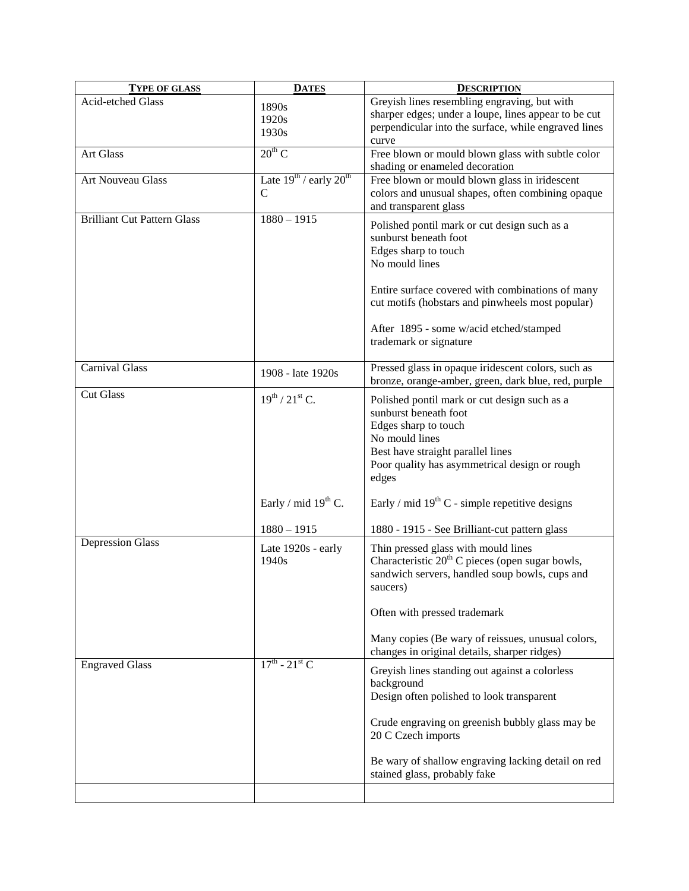| <b>TYPE OF GLASS</b>               | <b>DATES</b>                     | <b>DESCRIPTION</b>                                                                  |
|------------------------------------|----------------------------------|-------------------------------------------------------------------------------------|
| Acid-etched Glass                  | 1890s                            | Greyish lines resembling engraving, but with                                        |
|                                    | 1920s                            | sharper edges; under a loupe, lines appear to be cut                                |
|                                    | 1930s                            | perpendicular into the surface, while engraved lines                                |
|                                    |                                  | curve                                                                               |
| Art Glass                          | $20^{th}$ C                      | Free blown or mould blown glass with subtle color<br>shading or enameled decoration |
| Art Nouveau Glass                  | Late $19^{th}$ / early $20^{th}$ | Free blown or mould blown glass in iridescent                                       |
|                                    | $\mathbf C$                      | colors and unusual shapes, often combining opaque                                   |
|                                    |                                  | and transparent glass                                                               |
| <b>Brilliant Cut Pattern Glass</b> | $1880 - 1915$                    | Polished pontil mark or cut design such as a                                        |
|                                    |                                  | sunburst beneath foot                                                               |
|                                    |                                  | Edges sharp to touch                                                                |
|                                    |                                  | No mould lines                                                                      |
|                                    |                                  |                                                                                     |
|                                    |                                  | Entire surface covered with combinations of many                                    |
|                                    |                                  | cut motifs (hobstars and pinwheels most popular)                                    |
|                                    |                                  |                                                                                     |
|                                    |                                  | After 1895 - some w/acid etched/stamped                                             |
|                                    |                                  | trademark or signature                                                              |
|                                    |                                  |                                                                                     |
| <b>Carnival Glass</b>              | 1908 - late 1920s                | Pressed glass in opaque iridescent colors, such as                                  |
|                                    |                                  | bronze, orange-amber, green, dark blue, red, purple                                 |
| <b>Cut Glass</b>                   | $19^{th}$ / $21^{st}$ C.         | Polished pontil mark or cut design such as a                                        |
|                                    |                                  | sunburst beneath foot                                                               |
|                                    |                                  | Edges sharp to touch                                                                |
|                                    |                                  | No mould lines                                                                      |
|                                    |                                  | Best have straight parallel lines                                                   |
|                                    |                                  | Poor quality has asymmetrical design or rough                                       |
|                                    |                                  | edges                                                                               |
|                                    |                                  |                                                                                     |
|                                    | Early / mid $19th$ C.            | Early / mid $19th$ C - simple repetitive designs                                    |
|                                    |                                  |                                                                                     |
|                                    | $1880 - 1915$                    | 1880 - 1915 - See Brilliant-cut pattern glass                                       |
| <b>Depression Glass</b>            | Late 1920s - early               | Thin pressed glass with mould lines                                                 |
|                                    | 1940 <sub>s</sub>                | Characteristic $20th$ C pieces (open sugar bowls,                                   |
|                                    |                                  | sandwich servers, handled soup bowls, cups and                                      |
|                                    |                                  | saucers)                                                                            |
|                                    |                                  |                                                                                     |
|                                    |                                  | Often with pressed trademark                                                        |
|                                    |                                  | Many copies (Be wary of reissues, unusual colors,                                   |
|                                    |                                  | changes in original details, sharper ridges)                                        |
| <b>Engraved Glass</b>              | $17^{th}$ - $21^{st}$ C          | Greyish lines standing out against a colorless                                      |
|                                    |                                  | background                                                                          |
|                                    |                                  | Design often polished to look transparent                                           |
|                                    |                                  |                                                                                     |
|                                    |                                  | Crude engraving on greenish bubbly glass may be                                     |
|                                    |                                  | 20 C Czech imports                                                                  |
|                                    |                                  |                                                                                     |
|                                    |                                  | Be wary of shallow engraving lacking detail on red                                  |
|                                    |                                  | stained glass, probably fake                                                        |
|                                    |                                  |                                                                                     |
|                                    |                                  |                                                                                     |